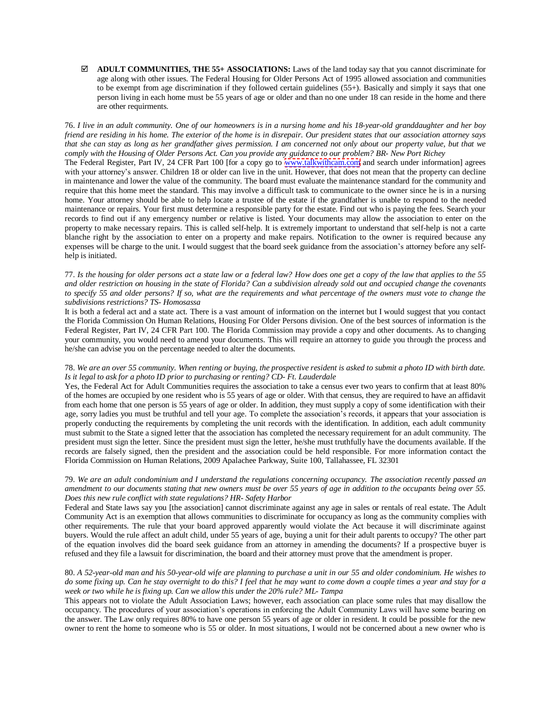**ADULT COMMUNITIES, THE 55+ ASSOCIATIONS:** Laws of the land today say that you cannot discriminate for age along with other issues. The Federal Housing for Older Persons Act of 1995 allowed association and communities to be exempt from age discrimination if they followed certain guidelines (55+). Basically and simply it says that one person living in each home must be 55 years of age or older and than no one under 18 can reside in the home and there are other requirments.

76. *I live in an adult community. One of our homeowners is in a nursing home and his 18-year-old granddaughter and her boy friend are residing in his home. The exterior of the home is in disrepair. Our president states that our association attorney says that she can stay as long as her grandfather gives permission. I am concerned not only about our property value, but that we comply with the Housing of Older Persons Act. Can you provide any guidance to our problem? BR- New Port Richey* The Federal Register, Part IV, 24 CFR Part 100 [for a copy go to <www.talkwithcam.com> and search under information] agrees

with your attorney's answer. Children 18 or older can live in the unit. However, that does not mean that the property can decline in maintenance and lower the value of the community. The board must evaluate the maintenance standard for the community and require that this home meet the standard. This may involve a difficult task to communicate to the owner since he is in a nursing home. Your attorney should be able to help locate a trustee of the estate if the grandfather is unable to respond to the needed maintenance or repairs. Your first must determine a responsible party for the estate. Find out who is paying the fees. Search your records to find out if any emergency number or relative is listed. Your documents may allow the association to enter on the property to make necessary repairs. This is called self-help. It is extremely important to understand that self-help is not a carte blanche right by the association to enter on a property and make repairs. Notification to the owner is required because any expenses will be charge to the unit. I would suggest that the board seek guidance from the association's attorney before any selfhelp is initiated.

#### 77. *Is the housing for older persons act a state law or a federal law? How does one get a copy of the law that applies to the 55 and older restriction on housing in the state of Florida? Can a subdivision already sold out and occupied change the covenants to specify 55 and older persons? If so, what are the requirements and what percentage of the owners must vote to change the subdivisions restrictions? TS- Homosassa*

It is both a federal act and a state act. There is a vast amount of information on the internet but I would suggest that you contact the Florida Commission On Human Relations, Housing For Older Persons division. One of the best sources of information is the Federal Register, Part IV, 24 CFR Part 100. The Florida Commission may provide a copy and other documents. As to changing your community, you would need to amend your documents. This will require an attorney to guide you through the process and he/she can advise you on the percentage needed to alter the documents.

# 78. *We are an over 55 community. When renting or buying, the prospective resident is asked to submit a photo ID with birth date. Is it legal to ask for a photo ID prior to purchasing or renting? CD- Ft. Lauderdale*

Yes, the Federal Act for Adult Communities requires the association to take a census ever two years to confirm that at least 80% of the homes are occupied by one resident who is 55 years of age or older. With that census, they are required to have an affidavit from each home that one person is 55 years of age or older. In addition, they must supply a copy of some identification with their age, sorry ladies you must be truthful and tell your age. To complete the association's records, it appears that your association is properly conducting the requirements by completing the unit records with the identification. In addition, each adult community must submit to the State a signed letter that the association has completed the necessary requirement for an adult community. The president must sign the letter. Since the president must sign the letter, he/she must truthfully have the documents available. If the records are falsely signed, then the president and the association could be held responsible. For more information contact the Florida Commission on Human Relations, 2009 Apalachee Parkway, Suite 100, Tallahassee, FL 32301

# 79. *We are an adult condominium and I understand the regulations concerning occupancy. The association recently passed an amendment to our documents stating that new owners must be over 55 years of age in addition to the occupants being over 55. Does this new rule conflict with state regulations? HR- Safety Harbor*

Federal and State laws say you [the association] cannot discriminate against any age in sales or rentals of real estate. The Adult Community Act is an exemption that allows communities to discriminate for occupancy as long as the community complies with other requirements. The rule that your board approved apparently would violate the Act because it will discriminate against buyers. Would the rule affect an adult child, under 55 years of age, buying a unit for their adult parents to occupy? The other part of the equation involves did the board seek guidance from an attorney in amending the documents? If a prospective buyer is refused and they file a lawsuit for discrimination, the board and their attorney must prove that the amendment is proper.

# 80. *A 52-year-old man and his 50-year-old wife are planning to purchase a unit in our 55 and older condominium. He wishes to do some fixing up. Can he stay overnight to do this? I feel that he may want to come down a couple times a year and stay for a week or two while he is fixing up. Can we allow this under the 20% rule? ML- Tampa*

This appears not to violate the Adult Association Laws; however, each association can place some rules that may disallow the occupancy. The procedures of your association's operations in enforcing the Adult Community Laws will have some bearing on the answer. The Law only requires 80% to have one person 55 years of age or older in resident. It could be possible for the new owner to rent the home to someone who is 55 or older. In most situations, I would not be concerned about a new owner who is